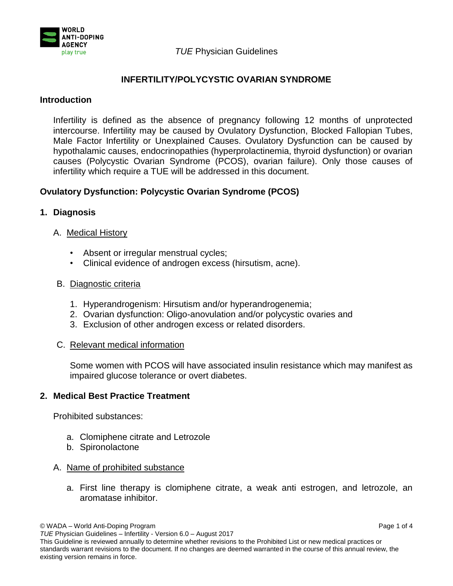

## *TUE* Physician Guidelines

# **INFERTILITY/POLYCYSTIC OVARIAN SYNDROME**

#### **Introduction**

Infertility is defined as the absence of pregnancy following 12 months of unprotected intercourse. Infertility may be caused by Ovulatory Dysfunction, Blocked Fallopian Tubes, Male Factor Infertility or Unexplained Causes. Ovulatory Dysfunction can be caused by hypothalamic causes, endocrinopathies (hyperprolactinemia, thyroid dysfunction) or ovarian causes (Polycystic Ovarian Syndrome (PCOS), ovarian failure). Only those causes of infertility which require a TUE will be addressed in this document.

# **Ovulatory Dysfunction: Polycystic Ovarian Syndrome (PCOS)**

## **1. Diagnosis**

## A. Medical History

- Absent or irregular menstrual cycles;
- Clinical evidence of androgen excess (hirsutism, acne).

## B. Diagnostic criteria

- 1. Hyperandrogenism: Hirsutism and/or hyperandrogenemia;
- 2. Ovarian dysfunction: Oligo-anovulation and/or polycystic ovaries and
- 3. Exclusion of other androgen excess or related disorders.

#### C. Relevant medical information

Some women with PCOS will have associated insulin resistance which may manifest as impaired glucose tolerance or overt diabetes.

## **2. Medical Best Practice Treatment**

Prohibited substances:

- a. Clomiphene citrate and Letrozole
- b. Spironolactone

#### A. Name of prohibited substance

a. First line therapy is clomiphene citrate, a weak anti estrogen, and letrozole, an aromatase inhibitor.

© WADA – World Anti-Doping Program Page 1 of 4

*TUE* Physician Guidelines – Infertility - Version 6.0 – August 2017

This Guideline is reviewed annually to determine whether revisions to the Prohibited List or new medical practices or standards warrant revisions to the document. If no changes are deemed warranted in the course of this annual review, the existing version remains in force.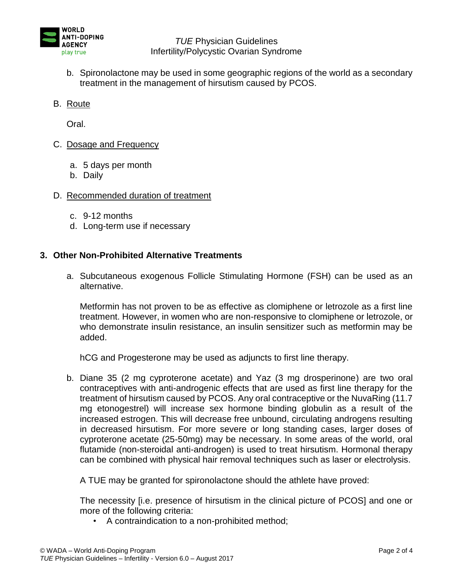

*TUE* Physician Guidelines Infertility/Polycystic Ovarian Syndrome

- b. Spironolactone may be used in some geographic regions of the world as a secondary treatment in the management of hirsutism caused by PCOS.
- B. Route

Oral.

- C. Dosage and Frequency
	- a. 5 days per month
	- b. Daily
- D. Recommended duration of treatment
	- c. 9-12 months
	- d. Long-term use if necessary

## **3. Other Non-Prohibited Alternative Treatments**

a. Subcutaneous exogenous Follicle Stimulating Hormone (FSH) can be used as an alternative.

Metformin has not proven to be as effective as clomiphene or letrozole as a first line treatment. However, in women who are non-responsive to clomiphene or letrozole, or who demonstrate insulin resistance, an insulin sensitizer such as metformin may be added.

hCG and Progesterone may be used as adjuncts to first line therapy.

b. Diane 35 (2 mg cyproterone acetate) and Yaz (3 mg drosperinone) are two oral contraceptives with anti-androgenic effects that are used as first line therapy for the treatment of hirsutism caused by PCOS. Any oral contraceptive or the NuvaRing (11.7 mg etonogestrel) will increase sex hormone binding globulin as a result of the increased estrogen. This will decrease free unbound, circulating androgens resulting in decreased hirsutism. For more severe or long standing cases, larger doses of cyproterone acetate (25-50mg) may be necessary. In some areas of the world, oral flutamide (non-steroidal anti-androgen) is used to treat hirsutism. Hormonal therapy can be combined with physical hair removal techniques such as laser or electrolysis.

A TUE may be granted for spironolactone should the athlete have proved:

The necessity [i.e. presence of hirsutism in the clinical picture of PCOS] and one or more of the following criteria:

• A contraindication to a non-prohibited method;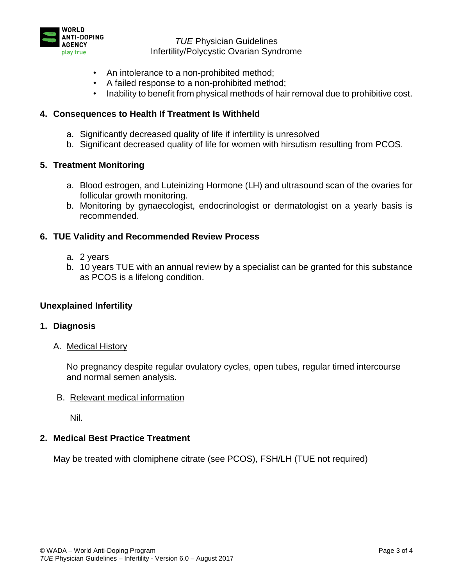

*TUE* Physician Guidelines Infertility/Polycystic Ovarian Syndrome

- An intolerance to a non-prohibited method;
- A failed response to a non-prohibited method;
- Inability to benefit from physical methods of hair removal due to prohibitive cost.

# **4. Consequences to Health If Treatment Is Withheld**

- a. Significantly decreased quality of life if infertility is unresolved
- b. Significant decreased quality of life for women with hirsutism resulting from PCOS.

## **5. Treatment Monitoring**

- a. Blood estrogen, and Luteinizing Hormone (LH) and ultrasound scan of the ovaries for follicular growth monitoring.
- b. Monitoring by gynaecologist, endocrinologist or dermatologist on a yearly basis is recommended.

## **6. TUE Validity and Recommended Review Process**

- a. 2 years
- b. 10 years TUE with an annual review by a specialist can be granted for this substance as PCOS is a lifelong condition.

#### **Unexplained Infertility**

#### **1. Diagnosis**

A. Medical History

No pregnancy despite regular ovulatory cycles, open tubes, regular timed intercourse and normal semen analysis.

#### B. Relevant medical information

Nil.

#### **2. Medical Best Practice Treatment**

May be treated with clomiphene citrate (see PCOS), FSH/LH (TUE not required)